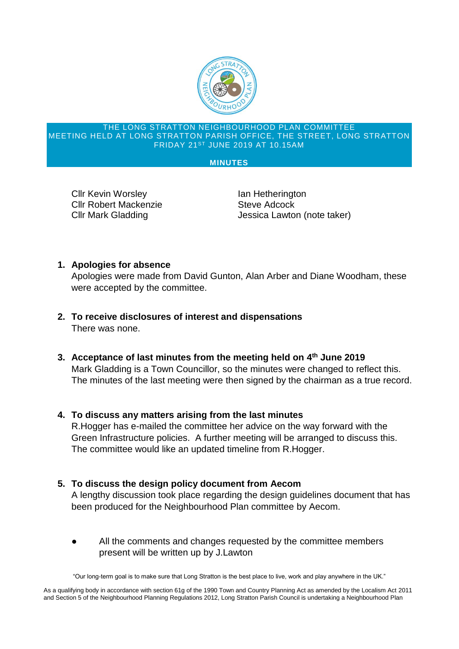

#### THE LONG STRATTON NEIGHBOURHOOD PLAN COMMITTEE MEETING HELD AT LONG STRATTON PARISH OFFICE, THE STREET, LONG STRATTON FRIDAY 21ST JUNE 2019 AT 10.15AM

#### **MINUTES**

Cllr Kevin Worsley **In the Uan Hetherington Cllr Robert Mackenzie Cllr Robert Mackenzie** 

Cllr Mark Gladding The Superior Sessica Lawton (note taker)

# **1. Apologies for absence**

Apologies were made from David Gunton, Alan Arber and Diane Woodham, these were accepted by the committee.

- **2. To receive disclosures of interest and dispensations** There was none.
- **3. Acceptance of last minutes from the meeting held on 4 th June 2019** Mark Gladding is a Town Councillor, so the minutes were changed to reflect this. The minutes of the last meeting were then signed by the chairman as a true record.

# **4. To discuss any matters arising from the last minutes**

R.Hogger has e-mailed the committee her advice on the way forward with the Green Infrastructure policies. A further meeting will be arranged to discuss this. The committee would like an updated timeline from R.Hogger.

# **5. To discuss the design policy document from Aecom**

A lengthy discussion took place regarding the design guidelines document that has been produced for the Neighbourhood Plan committee by Aecom.

All the comments and changes requested by the committee members present will be written up by J.Lawton

"Our long-term goal is to make sure that Long Stratton is the best place to live, work and play anywhere in the UK."

As a qualifying body in accordance with section 61g of the 1990 Town and Country Planning Act as amended by the Localism Act 2011 and Section 5 of the Neighbourhood Planning Regulations 2012, Long Stratton Parish Council is undertaking a Neighbourhood Plan